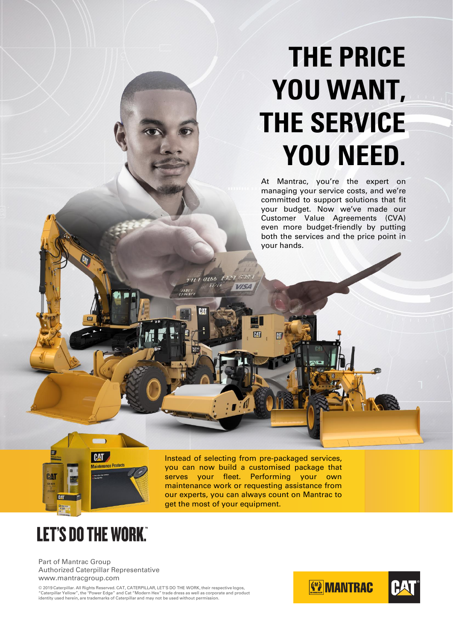# **THE PRICE YOU WANT, THE SERVICE YOU NEED.**

At Mantrac, you're the expert on managing your service costs, and we're committed to support solutions that fit your budget. Now we've made our Customer Value Agreements (CVA) even more budget-friendly by putting both the services and the price point in your hands.



Instead of selecting from pre-packaged services, you can now build a customised package that serves your fleet. Performing your own maintenance work or requesting assistance from our experts, you can always count on Mantrac to get the most of your equipment.

**PAT** 

10166 1329

## **LET'S DO THE WORK"**

Part of Mantrac Group Authorized Caterpillar Representative www.mantracgroup.com

© 2019 Caterpillar. All Rights Reserved. CAT, CATERPILLAR, LET'S DO THE WORK, their respective logos,<br>"Caterpillar Yellow", the "Power Edge" and Cat "Modern Hex" trade dress as well as corporate and product<br>identity used h